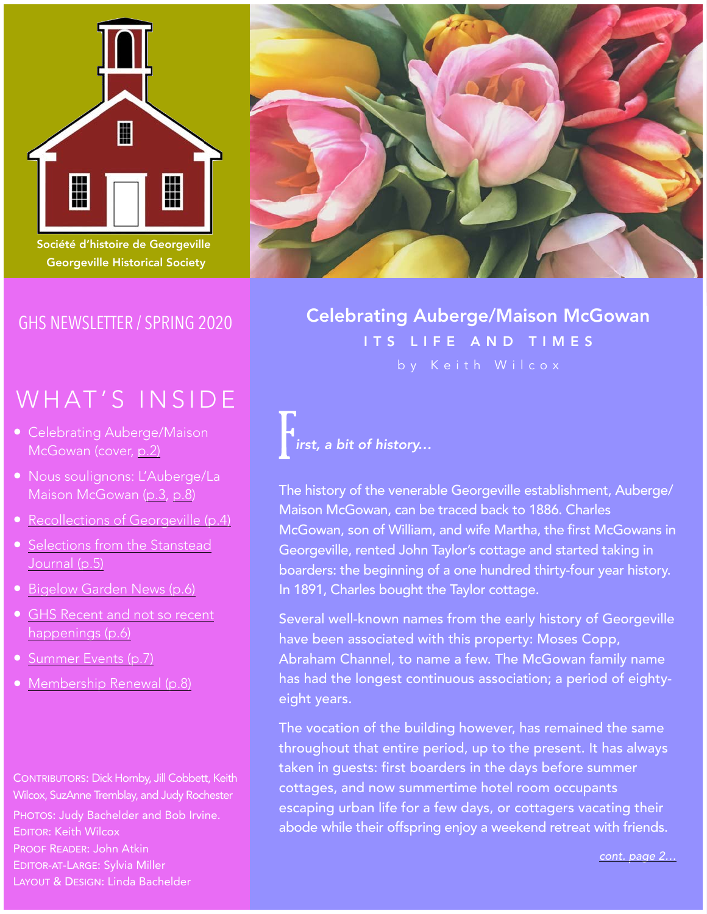

Société d'histoire de Georgeville Georgeville Historical Society

# GHS NEWSLETTER / SPRING 2020

# WHAT'S INSIDE

- Celebrating Auberge/Maison McGowan (cover, [p.2\)](#page-1-0)
- Nous soulignons: L'Auberge/La Maison McGowan ([p.3](#page-2-0), [p.8](#page-7-0))
- [Recollections of Georgeville \(p.4\)](#page-3-0)
- [Selections from the Stanstead](#page-4-0)  [Journal \(p.5\)](#page-4-0)
- [Bigelow Garden News \(p.6\)](#page-5-0)
- GHS Recent and not so recent [happenings \(p.6\)](#page-5-0)
- [Summer Events \(p.7\)](#page-6-0)
- [Membership Renewal \(p.8\)](#page-7-0)

CONTRIBUTORS: Dick Hornby, Jill Cobbett, Keith Wilcox, SuzAnne Tremblay, and Judy Rochester

PHOTOS: Judy Bachelder and Bob Irvine. EDITOR: Keith Wilcox PROOF READER: John Atkin EDITOR-AT-LARGE: Sylvia Miller LAYOUT & DESIGN: Linda Bachelder



**TYPE TO ENTER CELEBRATION CONTROLS CONTROLLER A CONTROLLER A CONTROLLER A CONTROLLER A CONTROLLER A** ITS LIFE AND TIMES

F *irst, a bit of history…*

The history of the venerable Georgeville establishment, Auberge/ Maison McGowan, can be traced back to 1886. Charles McGowan, son of William, and wife Martha, the first McGowans in Georgeville, rented John Taylor's cottage and started taking in boarders: the beginning of a one hundred thirty-four year history. In 1891, Charles bought the Taylor cottage.

Several well-known names from the early history of Georgeville have been associated with this property: Moses Copp, Abraham Channel, to name a few. The McGowan family name has had the longest continuous association; a period of eightyeight years.

The vocation of the building however, has remained the same throughout that entire period, up to the present. It has always taken in guests: first boarders in the days before summer cottages, and now summertime hotel room occupants escaping urban life for a few days, or cottagers vacating their abode while their offspring enjoy a weekend retreat with friends.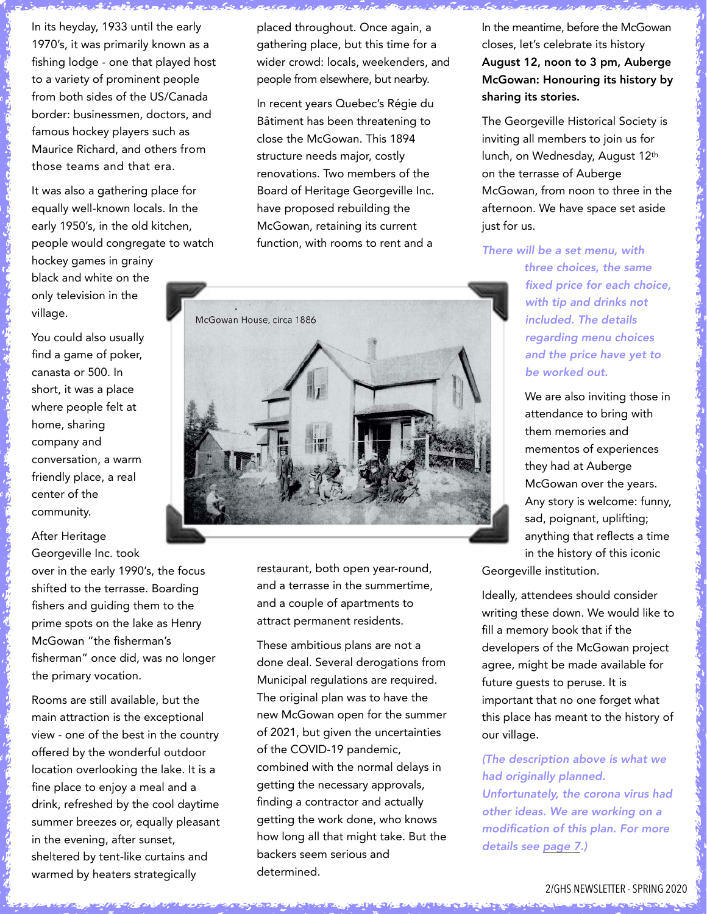<span id="page-1-0"></span>In its heyday, 1933 until the early 1970's, it was primarily known as a fishing lodge - one that played host to a variety of prominent people from both sides of the US/Canada border: businessmen, doctors, and famous hockey players such as Maurice Richard, and others from those teams and that era.

It was also a gathering place for equally well-known locals. In the early 1950's, in the old kitchen, people would congregate to watch

hockey games in grainy black and white on the only television in the village.

You could also usually find a game of poker, canasta or 500. In short, it was a place where people felt at home, sharing company and conversation, a warm friendly place, a real center of the community.

After Heritage Georgeville Inc. took

over in the early 1990's, the focus shifted to the terrasse. Boarding fishers and guiding them to the prime spots on the lake as Henry McGowan "the fisherman's fisherman" once did, was no longer the primary vocation.

Rooms are still available, but the main attraction is the exceptional view - one of the best in the country offered by the wonderful outdoor location overlooking the lake. It is a fine place to enjoy a meal and a drink, refreshed by the cool daytime summer breezes or, equally pleasant in the evening, after sunset, sheltered by tent-like curtains and warmed by heaters strategically

placed throughout. Once again, a gathering place, but this time for a wider crowd: locals, weekenders, and people from elsewhere, but nearby.

In recent years Quebec's Régie du Bâtiment has been threatening to close the McGowan. This 1894 structure needs major, costly renovations. Two members of the Board of Heritage Georgeville Inc. have proposed rebuilding the McGowan, retaining its current function, with rooms to rent and a



restaurant, both open year-round, and a terrasse in the summertime, and a couple of apartments to attract permanent residents.

These ambitious plans are not a done deal. Several derogations from Municipal regulations are required. The original plan was to have the new McGowan open for the summer of 2021, but given the uncertainties of the COVID-19 pandemic, combined with the normal delays in getting the necessary approvals, finding a contractor and actually getting the work done, who knows how long all that might take. But the backers seem serious and determined.

In the meantime, before the McGowan closes, let's celebrate its history August 12, noon to 3 pm, Auberge McGowan: Honouring its history by sharing its stories.

The Georgeville Historical Society is inviting all members to join us for lunch, on Wednesday, August 12th on the terrasse of Auberge McGowan, from noon to three in the afternoon. We have space set aside just for us.

*There will be a set menu, with three choices, the same fixed price for each choice, with tip and drinks not included. The details regarding menu choices and the price have yet to be worked out.* 

> We are also inviting those in attendance to bring with them memories and mementos of experiences they had at Auberge McGowan over the years. Any story is welcome: funny, sad, poignant, uplifting; anything that reflects a time in the history of this iconic

Georgeville institution.

Ideally, attendees should consider writing these down. We would like to fill a memory book that if the developers of the McGowan project agree, might be made available for future guests to peruse. It is important that no one forget what this place has meant to the history of our village.

*(The description above is what we had originally planned. Unfortunately, the corona virus had other ideas. We are working on a modification of this plan. For more details see [page 7.](#page-6-0))*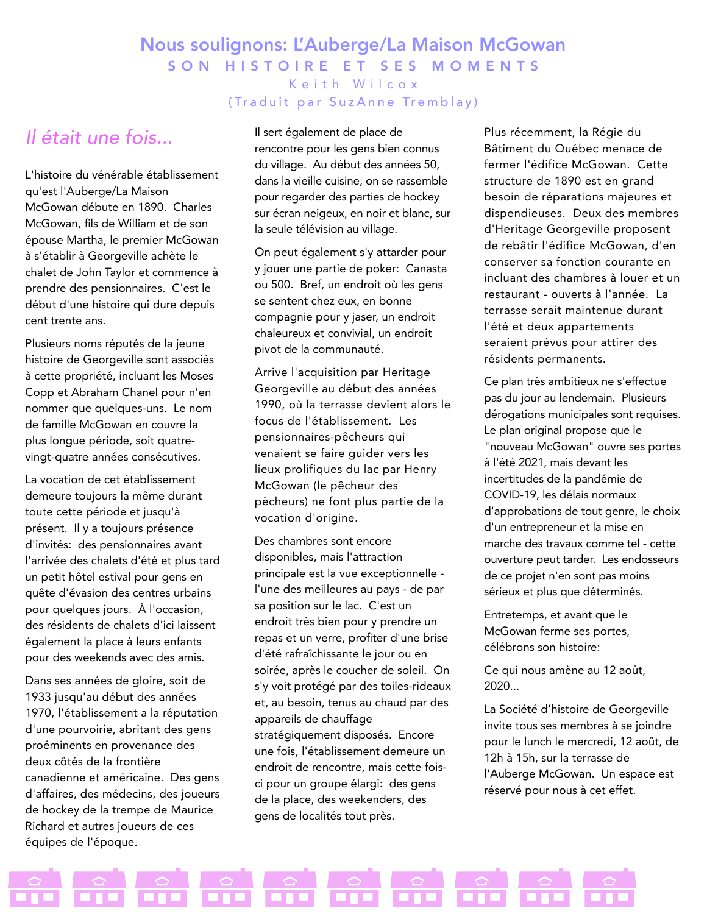### <span id="page-2-0"></span>Nous soulignons: L'Auberge/La Maison McGowan SON HISTOIRE ET SES MOMENTS Keith Wilcox

(Traduit par SuzAnne Tremblay)

# *Il était une fois...*

L'histoire du vénérable établissement qu'est l'Auberge/La Maison McGowan débute en 1890. Charles McGowan, fils de William et de son épouse Martha, le premier McGowan à s'établir à Georgeville achète le chalet de John Taylor et commence à prendre des pensionnaires. C'est le début d'une histoire qui dure depuis cent trente ans.

Plusieurs noms réputés de la jeune histoire de Georgeville sont associés à cette propriété, incluant les Moses Copp et Abraham Chanel pour n'en nommer que quelques-uns. Le nom de famille McGowan en couvre la plus longue période, soit quatrevingt-quatre années consécutives.

La vocation de cet établissement demeure toujours la même durant toute cette période et jusqu'à présent. Il y a toujours présence d'invités: des pensionnaires avant l'arrivée des chalets d'été et plus tard un petit hôtel estival pour gens en quête d'évasion des centres urbains pour quelques jours. À l'occasion, des résidents de chalets d'ici laissent également la place à leurs enfants pour des weekends avec des amis.

Dans ses années de gloire, soit de 1933 jusqu'au début des années 1970, l'établissement a la réputation d'une pourvoirie, abritant des gens proéminents en provenance des deux côtés de la frontière canadienne et américaine. Des gens d'affaires, des médecins, des joueurs de hockey de la trempe de Maurice Richard et autres joueurs de ces équipes de l'époque.

Il sert également de place de rencontre pour les gens bien connus du village. Au début des années 50, dans la vieille cuisine, on se rassemble pour regarder des parties de hockey sur écran neigeux, en noir et blanc, sur la seule télévision au village.

On peut également s'y attarder pour y jouer une partie de poker: Canasta ou 500. Bref, un endroit où les gens se sentent chez eux, en bonne compagnie pour y jaser, un endroit chaleureux et convivial, un endroit pivot de la communauté.

Arrive l'acquisition par Heritage Georgeville au début des années 1990, où la terrasse devient alors le focus de l'établissement. Les pensionnaires-pêcheurs qui venaient se faire guider vers les lieux prolifiques du lac par Henry McGowan (le pêcheur des pêcheurs) ne font plus partie de la vocation d'origine.

Des chambres sont encore disponibles, mais l'attraction principale est la vue exceptionnelle l'une des meilleures au pays - de par sa position sur le lac. C'est un endroit très bien pour y prendre un repas et un verre, profiter d'une brise d'été rafraîchissante le jour ou en soirée, après le coucher de soleil. On s'y voit protégé par des toiles-rideaux et, au besoin, tenus au chaud par des appareils de chauffage stratégiquement disposés. Encore une fois, l'établissement demeure un endroit de rencontre, mais cette foisci pour un groupe élargi: des gens de la place, des weekenders, des gens de localités tout près.

Plus récemment, la Régie du Bâtiment du Québec menace de fermer l'édifice McGowan. Cette structure de 1890 est en grand besoin de réparations majeures et dispendieuses. Deux des membres d'Heritage Georgeville proposent de rebâtir l'édifice McGowan, d'en conserver sa fonction courante en incluant des chambres à louer et un restaurant - ouverts à l'année. La terrasse serait maintenue durant l'été et deux appartements seraient prévus pour attirer des résidents permanents.

Ce plan très ambitieux ne s'effectue pas du jour au lendemain. Plusieurs dérogations municipales sont requises. Le plan original propose que le "nouveau McGowan" ouvre ses portes à l'été 2021, mais devant les incertitudes de la pandémie de COVID-19, les délais normaux d'approbations de tout genre, le choix d'un entrepreneur et la mise en marche des travaux comme tel - cette ouverture peut tarder. Les endosseurs de ce projet n'en sont pas moins sérieux et plus que déterminés.

Entretemps, et avant que le McGowan ferme ses portes, célébrons son histoire:

Ce qui nous amène au 12 août, 2020...

La Société d'histoire de Georgeville invite tous ses membres à se joindre pour le lunch le mercredi, 12 août, de 12h à 15h, sur la terrasse de l'Auberge McGowan. Un espace est réservé pour nous à cet effet.

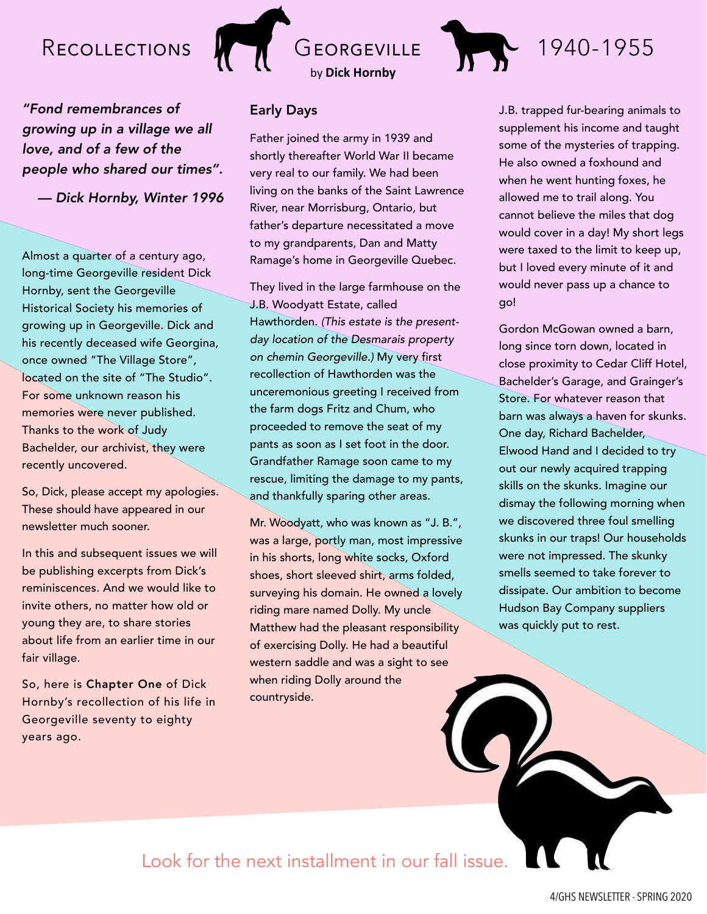# <span id="page-3-0"></span>RECOLLECTIONS GEORGEVILLE

*"Fond remembrances of growing up in a village we all love, and of a few of the people who shared our times".* 

*— Dick Hornby, Winter 1996* 

Almost a quarter of a century ago, long-time Georgeville resident Dick Hornby, sent the Georgeville Historical Society his memories of growing up in Georgeville. Dick and his recently deceased wife Georgina, once owned "The Village Store", located on the site of "The Studio". For some unknown reason his memories were never published. Thanks to the work of Judy Bachelder, our archivist, they were recently uncovered.

So, Dick, please accept my apologies. These should have appeared in our newsletter much sooner.

In this and subsequent issues we will be publishing excerpts from Dick's reminiscences. And we would like to invite others, no matter how old or young they are, to share stories about life from an earlier time in our fair village.

So, here is Chapter One of Dick Hornby's recollection of his life in Georgeville seventy to eighty years ago.

#### Early Days

Father joined the army in 1939 and shortly thereafter World War II became very real to our family. We had been living on the banks of the Saint Lawrence River, near Morrisburg, Ontario, but father's departure necessitated a move to my grandparents, Dan and Matty Ramage's home in Georgeville Quebec.

by **Dick Hornby**

They lived in the large farmhouse on the J.B. Woodyatt Estate, called Hawthorden. *(This estate is the presentday location of the Desmarais property on chemin Georgeville.)* My very first recollection of Hawthorden was the unceremonious greeting I received from the farm dogs Fritz and Chum, who proceeded to remove the seat of my pants as soon as I set foot in the door. Grandfather Ramage soon came to my rescue, limiting the damage to my pants, and thankfully sparing other areas.

Mr. Woodyatt, who was known as "J. B.", was a large, portly man, most impressive in his shorts, long white socks, Oxford shoes, short sleeved shirt, arms folded, surveying his domain. He owned a lovely riding mare named Dolly. My uncle Matthew had the pleasant responsibility of exercising Dolly. He had a beautiful western saddle and was a sight to see when riding Dolly around the countryside.

J.B. trapped fur-bearing animals to supplement his income and taught some of the mysteries of trapping. He also owned a foxhound and when he went hunting foxes, he allowed me to trail along. You cannot believe the miles that dog would cover in a day! My short legs were taxed to the limit to keep up, but I loved every minute of it and would never pass up a chance to go!

1940-1955

Gordon McGowan owned a barn, long since torn down, located in close proximity to Cedar Cliff Hotel, Bachelder's Garage, and Grainger's Store. For whatever reason that barn was always a haven for skunks. One day, Richard Bachelder, Elwood Hand and I decided to try out our newly acquired trapping skills on the skunks. Imagine our dismay the following morning when we discovered three foul smelling skunks in our traps! Our households were not impressed. The skunky smells seemed to take forever to dissipate. Our ambition to become Hudson Bay Company suppliers was quickly put to rest.

Look for the next installment in our fall issue.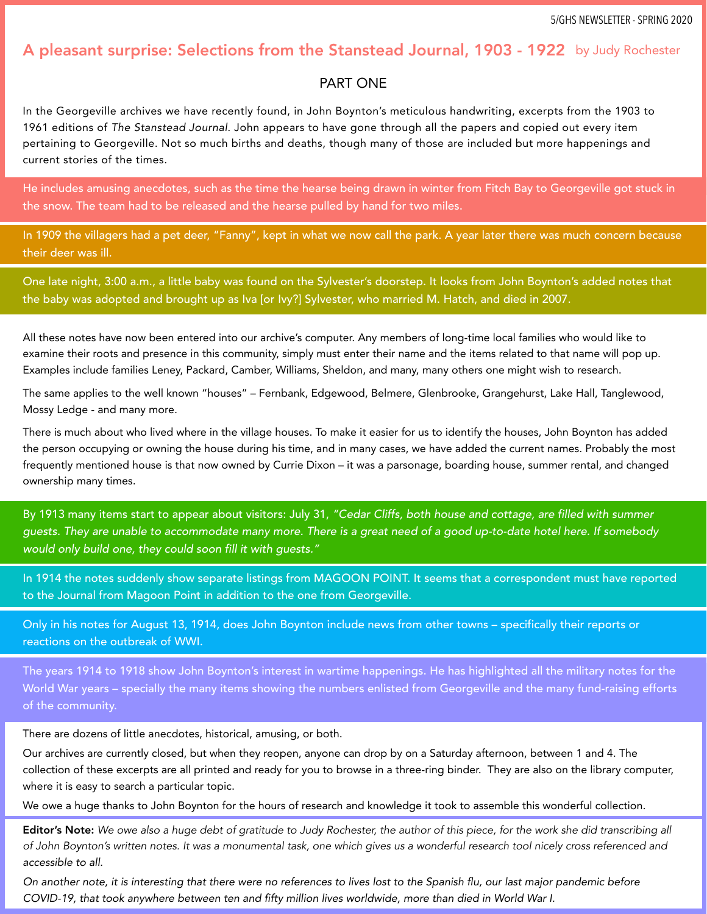#### <span id="page-4-0"></span>A pleasant surprise: Selections from the Stanstead Journal, 1903 - 1922 by Judy Rochester

#### PART ONE

In the Georgeville archives we have recently found, in John Boynton's meticulous handwriting, excerpts from the 1903 to 1961 editions of *The Stanstead Journal*. John appears to have gone through all the papers and copied out every item pertaining to Georgeville. Not so much births and deaths, though many of those are included but more happenings and current stories of the times.

He includes amusing anecdotes, such as the time the hearse being drawn in winter from Fitch Bay to Georgeville got stuck in the snow. The team had to be released and the hearse pulled by hand for two miles.

In 1909 the villagers had a pet deer, "Fanny", kept in what we now call the park. A year later there was much concern because their deer was ill.

One late night, 3:00 a.m., a little baby was found on the Sylvester's doorstep. It looks from John Boynton's added notes that the baby was adopted and brought up as Iva [or Ivy?] Sylvester, who married M. Hatch, and died in 2007.

All these notes have now been entered into our archive's computer. Any members of long-time local families who would like to examine their roots and presence in this community, simply must enter their name and the items related to that name will pop up. Examples include families Leney, Packard, Camber, Williams, Sheldon, and many, many others one might wish to research.

The same applies to the well known "houses" – Fernbank, Edgewood, Belmere, Glenbrooke, Grangehurst, Lake Hall, Tanglewood, Mossy Ledge - and many more.

There is much about who lived where in the village houses. To make it easier for us to identify the houses, John Boynton has added the person occupying or owning the house during his time, and in many cases, we have added the current names. Probably the most frequently mentioned house is that now owned by Currie Dixon – it was a parsonage, boarding house, summer rental, and changed ownership many times.

By 1913 many items start to appear about visitors: July 31, *"Cedar Cliffs, both house and cottage, are filled with summer guests. They are unable to accommodate many more. There is a great need of a good up-to-date hotel here. If somebody would only build one, they could soon fill it with guests."* 

In 1914 the notes suddenly show separate listings from MAGOON POINT. It seems that a correspondent must have reported to the Journal from Magoon Point in addition to the one from Georgeville.

Only in his notes for August 13, 1914, does John Boynton include news from other towns – specifically their reports or reactions on the outbreak of WWI.

The years 1914 to 1918 show John Boynton's interest in wartime happenings. He has highlighted all the military notes for the World War years – specially the many items showing the numbers enlisted from Georgeville and the many fund-raising efforts of the community.

There are dozens of little anecdotes, historical, amusing, or both.

Our archives are currently closed, but when they reopen, anyone can drop by on a Saturday afternoon, between 1 and 4. The collection of these excerpts are all printed and ready for you to browse in a three-ring binder. They are also on the library computer, where it is easy to search a particular topic.

We owe a huge thanks to John Boynton for the hours of research and knowledge it took to assemble this wonderful collection.

Editor's Note: *We owe also a huge debt of gratitude to Judy Rochester, the author of this piece, for the work she did transcribing all of John Boynton's written notes. It was a monumental task, one which gives us a wonderful research tool nicely cross referenced and accessible to all.* 

*On another note, it is interesting that there were no references to lives lost to the Spanish flu, our last major pandemic before COVID-19, that took anywhere between ten and fifty million lives worldwide, more than died in World War I.*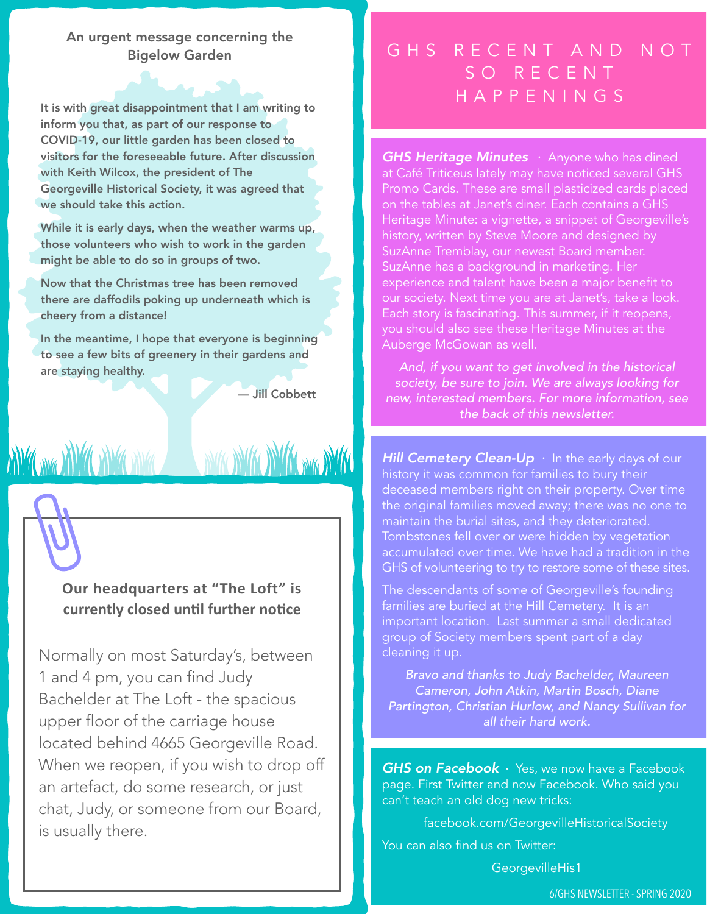#### <span id="page-5-0"></span>An urgent message concerning the Bigelow Garden

It is with great disappointment that I am writing to inform you that, as part of our response to COVID-19, our little garden has been closed to visitors for the foreseeable future. After discussion with Keith Wilcox, the president of The Georgeville Historical Society, it was agreed that we should take this action.

While it is early days, when the weather warms up, those volunteers who wish to work in the garden might be able to do so in groups of two.

Now that the Christmas tree has been removed there are daffodils poking up underneath which is cheery from a distance!

In the meantime, I hope that everyone is beginning to see a few bits of greenery in their gardens and are staying healthy.

**XW GANGE XW CANGO XWA** 

— Jill Cobbett

**NOW WAS INTERESTED** 

#### **Our headquarters at "The Loft" is** currently closed until further notice

Normally on most Saturday's, between 1 and 4 pm, you can find Judy Bachelder at The Loft - the spacious upper floor of the carriage house located behind 4665 Georgeville Road. When we reopen, if you wish to drop off an artefact, do some research, or just chat, Judy, or someone from our Board, is usually there.

# GHS RECENT AND NOT SO RECENT **HAPPENINGS**

*GHS Heritage Minutes* . Anyone who has dined at Café Triticeus lately may have noticed several GHS Promo Cards. These are small plasticized cards placed on the tables at Janet's diner. Each contains a GHS Heritage Minute: a vignette, a snippet of Georgeville's history, written by Steve Moore and designed by SuzAnne Tremblay, our newest Board member. SuzAnne has a background in marketing. Her experience and talent have been a major benefit to our society. Next time you are at Janet's, take a look. Each story is fascinating. This summer, if it reopens, you should also see these Heritage Minutes at the Auberge McGowan as well.

*And, if you want to get involved in the historical society, be sure to join. We are always looking for new, interested members. For more information, see the back of this newsletter.* 

**Hill Cemetery Clean-Up**  $\cdot$  In the early days of our history it was common for families to bury their deceased members right on their property. Over time the original families moved away; there was no one to maintain the burial sites, and they deteriorated. Tombstones fell over or were hidden by vegetation accumulated over time. We have had a tradition in the GHS of volunteering to try to restore some of these sites.

The descendants of some of Georgeville's founding families are buried at the Hill Cemetery. It is an important location. Last summer a small dedicated group of Society members spent part of a day cleaning it up.

*Bravo and thanks to Judy Bachelder, Maureen Cameron, John Atkin, Martin Bosch, Diane Partington, Christian Hurlow, and Nancy Sullivan for all their hard work.* 

*GHS on Facebook* . Yes, we now have a Facebook page. First Twitter and now Facebook. Who said you can't teach an old dog new tricks:

[facebook.com/GeorgevilleHistoricalSociety](http://facebook.com/GeorgevilleHistoricalSociety)

You can also find us on Twitter:

[GeorgevilleHis1](http://twitter)

6/GHS NEWSLETTER - SPRING 2020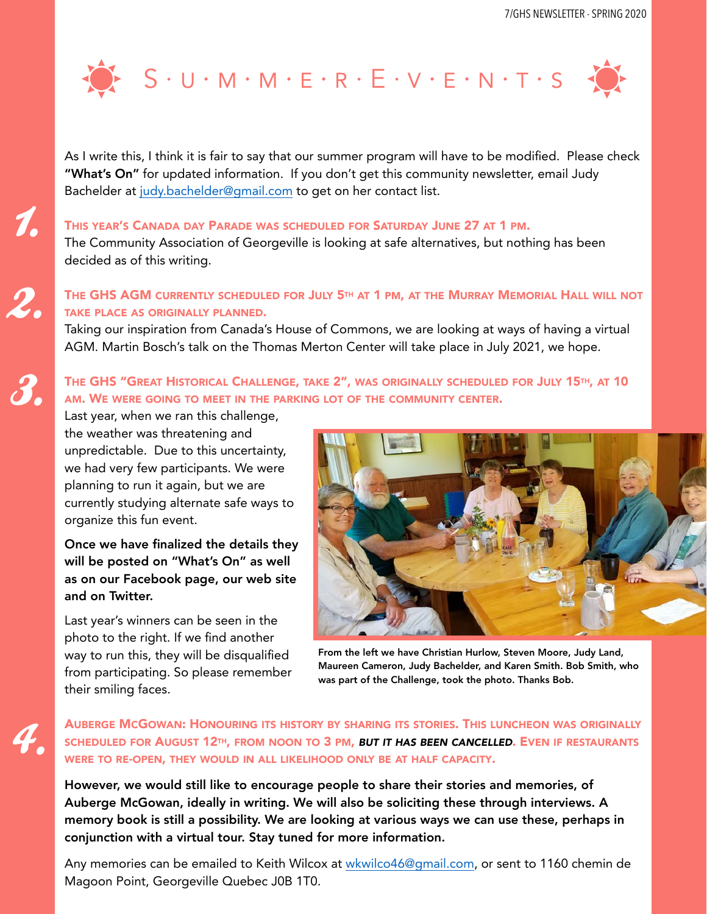<span id="page-6-0"></span>

As I write this, I think it is fair to say that our summer program will have to be modified. Please check "What's On" for updated information. If you don't get this community newsletter, email Judy Bachelder at [judy.bachelder@gmail.com](mailto:judy.bachelder@gmail.com) to get on her contact list.

#### THIS YEAR'S CANADA DAY PARADE WAS SCHEDULED FOR SATURDAY JUNE 27 AT 1 PM.

The Community Association of Georgeville is looking at safe alternatives, but nothing has been decided as of this writing.

#### THE GHS AGM CURRENTLY SCHEDULED FOR JULY 5TH AT 1 PM, AT THE MURRAY MEMORIAL HALL WILL NOT TAKE PLACE AS ORIGINALLY PLANNED.

Taking our inspiration from Canada's House of Commons, we are looking at ways of having a virtual AGM. Martin Bosch's talk on the Thomas Merton Center will take place in July 2021, we hope.

#### THE GHS "GREAT HISTORICAL CHALLENGE, TAKE 2", WAS ORIGINALLY SCHEDULED FOR JULY 15TH, AT 10 AM. WE WERE GOING TO MEET IN THE PARKING LOT OF THE COMMUNITY CENTER.

Last year, when we ran this challenge, the weather was threatening and unpredictable. Due to this uncertainty, we had very few participants. We were planning to run it again, but we are currently studying alternate safe ways to organize this fun event.

1.

2.

3.

4.

Once we have finalized the details they will be posted on "What's On" as well as on our Facebook page, our web site and on Twitter.

Last year's winners can be seen in the photo to the right. If we find another way to run this, they will be disqualified from participating. So please remember their smiling faces.

![](_page_6_Picture_11.jpeg)

From the left we have Christian Hurlow, Steven Moore, Judy Land, Maureen Cameron, Judy Bachelder, and Karen Smith. Bob Smith, who was part of the Challenge, took the photo. Thanks Bob.

AUBERGE MCGOWAN: HONOURING ITS HISTORY BY SHARING ITS STORIES. THIS LUNCHEON WAS ORIGINALLY SCHEDULED FOR AUGUST 12TH, FROM NOON TO 3 PM, *BUT IT HAS BEEN CANCELLED*. EVEN IF RESTAURANTS WERE TO RE-OPEN, THEY WOULD IN ALL LIKELIHOOD ONLY BE AT HALF CAPACITY.

However, we would still like to encourage people to share their stories and memories, of Auberge McGowan, ideally in writing. We will also be soliciting these through interviews. A memory book is still a possibility. We are looking at various ways we can use these, perhaps in conjunction with a virtual tour. Stay tuned for more information.

Any memories can be emailed to Keith Wilcox at [wkwilco46@gmail.com,](mailto:wkwilco46@gmail.com) or sent to 1160 chemin de Magoon Point, Georgeville Quebec J0B 1T0.